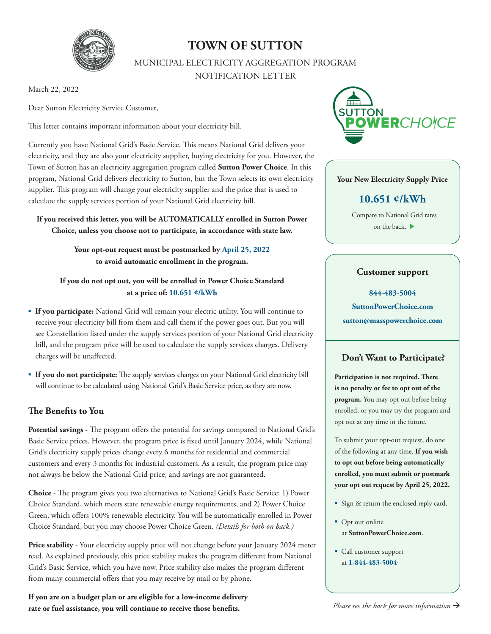

# **TOWN OF SUTTON**

MUNICIPAL ELECTRICITY AGGREGATION PROGRAM NOTIFICATION LETTER

March 22, 2022

Dear Sutton Electricity Service Customer,

This letter contains important information about your electricity bill.

Currently you have National Grid's Basic Service. This means National Grid delivers your electricity, and they are also your electricity supplier, buying electricity for you. However, the Town of Sutton has an electricity aggregation program called **Sutton Power Choice**. In this program, National Grid delivers electricity to Sutton, but the Town selects its own electricity supplier. This program will change your electricity supplier and the price that is used to calculate the supply services portion of your National Grid electricity bill.

**If you received this letter, you will be AUTOMATICALLY enrolled in Sutton Power Choice, unless you choose not to participate, in accordance with state law.** 

> **Your opt-out request must be postmarked by April 25, 2022 to avoid automatic enrollment in the program.**

#### **If you do not opt out, you will be enrolled in Power Choice Standard at a price of: 10.651 ¢/kWh**

- **If you participate:** National Grid will remain your electric utility. You will continue to receive your electricity bill from them and call them if the power goes out. But you will see Constellation listed under the supply services portion of your National Grid electricity bill, and the program price will be used to calculate the supply services charges. Delivery charges will be unaffected.
- **If you do not participate:** The supply services charges on your National Grid electricity bill will continue to be calculated using National Grid's Basic Service price, as they are now.

# **The Benefits to You**

**Potential savings** - The program offers the potential for savings compared to National Grid's Basic Service prices. However, the program price is fixed until January 2024, while National Grid's electricity supply prices change every 6 months for residential and commercial customers and every 3 months for industrial customers. As a result, the program price may not always be below the National Grid price, and savings are not guaranteed.

**Choice** - The program gives you two alternatives to National Grid's Basic Service: 1) Power Choice Standard, which meets state renewable energy requirements, and 2) Power Choice Green, which offers 100% renewable electricity. You will be automatically enrolled in Power Choice Standard, but you may choose Power Choice Green. *(Details for both on back.)*

**Price stability** - Your electricity supply price will not change before your January 2024 meter read. As explained previously, this price stability makes the program different from National Grid's Basic Service, which you have now. Price stability also makes the program different from many commercial offers that you may receive by mail or by phone.

**If you are on a budget plan or are eligible for a low-income delivery rate or fuel assistance, you will continue to receive those benefits.** 



#### **Your New Electricity Supply Price**

# **10.651 ¢/kWh**

Compare to National Grid rates on the back.

#### **Customer support**

**844-483-5004 SuttonPowerChoice.com sutton@masspowerchoice.com**

## **Don't Want to Participate?**

**Participation is not required. There is no penalty or fee to opt out of the program.** You may opt out before being enrolled, or you may try the program and opt out at any time in the future.

To submit your opt-out request, do one of the following at any time. **If you wish to opt out before being automatically enrolled, you must submit or postmark your opt out request by April 25, 2022.** 

- Sign & return the enclosed reply card.
- Opt out online at **SuttonPowerChoice.com**.
- Call customer support at **1-844-483-5004**.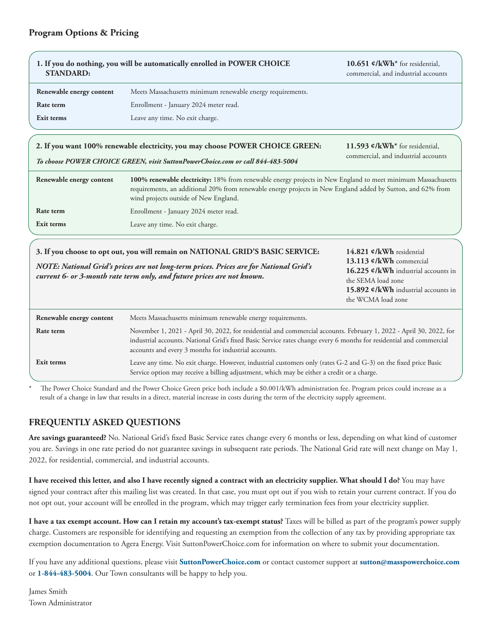## **Program Options & Pricing**

| 1. If you do nothing, you will be automatically enrolled in POWER CHOICE<br><b>STANDARD:</b>                                                                                                                                                      |                                                                                                                                                                                                                                                                                                   | 10.651 $\mathcal{C}/kWh^*$ for residential,<br>commercial, and industrial accounts                                                                                            |
|---------------------------------------------------------------------------------------------------------------------------------------------------------------------------------------------------------------------------------------------------|---------------------------------------------------------------------------------------------------------------------------------------------------------------------------------------------------------------------------------------------------------------------------------------------------|-------------------------------------------------------------------------------------------------------------------------------------------------------------------------------|
| Renewable energy content                                                                                                                                                                                                                          | Meets Massachusetts minimum renewable energy requirements.                                                                                                                                                                                                                                        |                                                                                                                                                                               |
| Rate term                                                                                                                                                                                                                                         | Enrollment - January 2024 meter read.                                                                                                                                                                                                                                                             |                                                                                                                                                                               |
| Exit terms                                                                                                                                                                                                                                        | Leave any time. No exit charge.                                                                                                                                                                                                                                                                   |                                                                                                                                                                               |
|                                                                                                                                                                                                                                                   | 2. If you want 100% renewable electricity, you may choose POWER CHOICE GREEN:<br>To choose POWER CHOICE GREEN, visit SuttonPowerChoice.com or call 844-483-5004                                                                                                                                   | 11.593 $\mathcal{C}/kWh^*$ for residential,<br>commercial, and industrial accounts                                                                                            |
| Renewable energy content                                                                                                                                                                                                                          | 100% renewable electricity: 18% from renewable energy projects in New England to meet minimum Massachusetts<br>requirements, an additional 20% from renewable energy projects in New England added by Sutton, and 62% from<br>wind projects outside of New England.                               |                                                                                                                                                                               |
| Rate term                                                                                                                                                                                                                                         | Enrollment - January 2024 meter read.                                                                                                                                                                                                                                                             |                                                                                                                                                                               |
| Exit terms                                                                                                                                                                                                                                        | Leave any time. No exit charge.                                                                                                                                                                                                                                                                   |                                                                                                                                                                               |
| 3. If you choose to opt out, you will remain on NATIONAL GRID'S BASIC SERVICE:<br>NOTE: National Grid's prices are not long-term prices. Prices are for National Grid's<br>current 6- or 3-month rate term only, and future prices are not known. |                                                                                                                                                                                                                                                                                                   | 14.821 ¢/kWh residential<br>13.113 ¢/kWh commercial<br>16.225 ¢/kWh industrial accounts in<br>the SEMA load zone<br>15.892 ¢/kWh industrial accounts in<br>the WCMA load zone |
| Renewable energy content                                                                                                                                                                                                                          | Meets Massachusetts minimum renewable energy requirements.                                                                                                                                                                                                                                        |                                                                                                                                                                               |
| Rate term                                                                                                                                                                                                                                         | November 1, 2021 - April 30, 2022, for residential and commercial accounts. February 1, 2022 - April 30, 2022, for<br>industrial accounts. National Grid's fixed Basic Service rates change every 6 months for residential and commercial<br>accounts and every 3 months for industrial accounts. |                                                                                                                                                                               |
| Exit terms                                                                                                                                                                                                                                        | Leave any time. No exit charge. However, industrial customers only (rates G-2 and G-3) on the fixed price Basic<br>Service option may receive a billing adjustment, which may be either a credit or a charge.                                                                                     |                                                                                                                                                                               |

The Power Choice Standard and the Power Choice Green price both include a \$0.001/kWh administration fee. Program prices could increase as a result of a change in law that results in a direct, material increase in costs during the term of the electricity supply agreement.

## **FREQUENTLY ASKED QUESTIONS**

**Are savings guaranteed?** No. National Grid's fixed Basic Service rates change every 6 months or less, depending on what kind of customer you are. Savings in one rate period do not guarantee savings in subsequent rate periods. The National Grid rate will next change on May 1, 2022, for residential, commercial, and industrial accounts.

**I have received this letter, and also I have recently signed a contract with an electricity supplier. What should I do?** You may have signed your contract after this mailing list was created. In that case, you must opt out if you wish to retain your current contract. If you do not opt out, your account will be enrolled in the program, which may trigger early termination fees from your electricity supplier.

**I have a tax exempt account. How can I retain my account's tax-exempt status?** Taxes will be billed as part of the program's power supply charge. Customers are responsible for identifying and requesting an exemption from the collection of any tax by providing appropriate tax exemption documentation to Agera Energy. Visit SuttonPowerChoice.com for information on where to submit your documentation.

If you have any additional questions, please visit **SuttonPowerChoice.com** or contact customer support at **sutton@masspowerchoice.com** or **1-844-483-5004**. Our Town consultants will be happy to help you.

James Smith Town Administrator